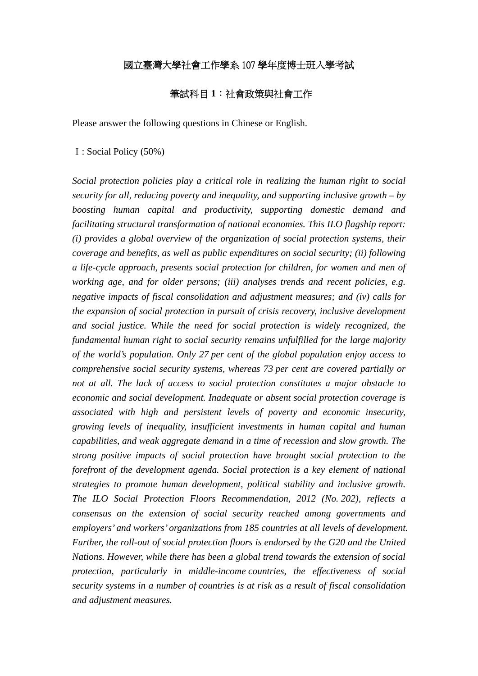# 國立臺灣大學社會工作學系 107 學年度博士班入學考試

# 筆試科目 **1**:社會政策與社會工作

Please answer the following questions in Chinese or English.

#### Ⅰ: Social Policy (50%)

*Social protection policies play a critical role in realizing the human right to social security for all, reducing poverty and inequality, and supporting inclusive growth – by boosting human capital and productivity, supporting domestic demand and facilitating structural transformation of national economies. This ILO flagship report: (i) provides a global overview of the organization of social protection systems, their coverage and benefits, as well as public expenditures on social security; (ii) following a life-cycle approach, presents social protection for children, for women and men of working age, and for older persons; (iii) analyses trends and recent policies, e.g. negative impacts of fiscal consolidation and adjustment measures; and (iv) calls for the expansion of social protection in pursuit of crisis recovery, inclusive development and social justice. While the need for social protection is widely recognized, the fundamental human right to social security remains unfulfilled for the large majority of the world's population. Only 27 per cent of the global population enjoy access to comprehensive social security systems, whereas 73 per cent are covered partially or not at all. The lack of access to social protection constitutes a major obstacle to economic and social development. Inadequate or absent social protection coverage is associated with high and persistent levels of poverty and economic insecurity, growing levels of inequality, insufficient investments in human capital and human capabilities, and weak aggregate demand in a time of recession and slow growth. The strong positive impacts of social protection have brought social protection to the forefront of the development agenda. Social protection is a key element of national strategies to promote human development, political stability and inclusive growth. The ILO Social Protection Floors Recommendation, 2012 (No. 202), reflects a consensus on the extension of social security reached among governments and employers' and workers' organizations from 185 countries at all levels of development. Further, the roll-out of social protection floors is endorsed by the G20 and the United Nations. However, while there has been a global trend towards the extension of social protection, particularly in middle-income countries, the effectiveness of social security systems in a number of countries is at risk as a result of fiscal consolidation and adjustment measures.*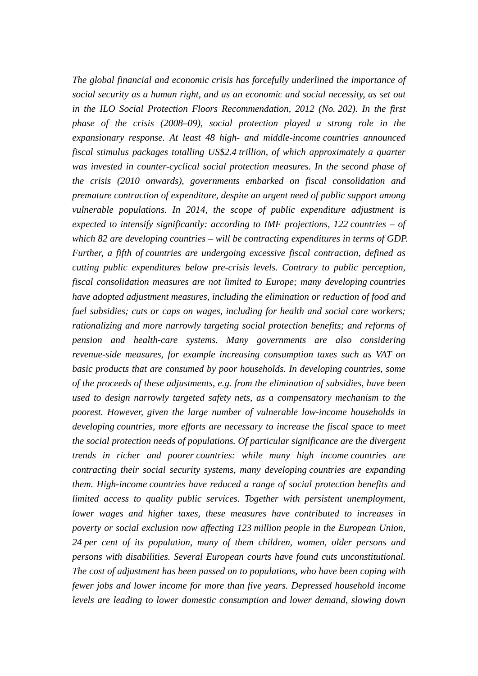*The global financial and economic crisis has forcefully underlined the importance of social security as a human right, and as an economic and social necessity, as set out in the ILO Social Protection Floors Recommendation, 2012 (No. 202). In the first phase of the crisis (2008–09), social protection played a strong role in the expansionary response. At least 48 high- and middle-income countries announced fiscal stimulus packages totalling US\$2.4 trillion, of which approximately a quarter was invested in counter-cyclical social protection measures. In the second phase of the crisis (2010 onwards), governments embarked on fiscal consolidation and premature contraction of expenditure, despite an urgent need of public support among vulnerable populations. In 2014, the scope of public expenditure adjustment is expected to intensify significantly: according to IMF projections, 122 countries – of which 82 are developing countries – will be contracting expenditures in terms of GDP. Further, a fifth of countries are undergoing excessive fiscal contraction, defined as cutting public expenditures below pre-crisis levels. Contrary to public perception, fiscal consolidation measures are not limited to Europe; many developing countries have adopted adjustment measures, including the elimination or reduction of food and fuel subsidies; cuts or caps on wages, including for health and social care workers; rationalizing and more narrowly targeting social protection benefits; and reforms of pension and health-care systems. Many governments are also considering revenue-side measures, for example increasing consumption taxes such as VAT on basic products that are consumed by poor households. In developing countries, some of the proceeds of these adjustments, e.g. from the elimination of subsidies, have been used to design narrowly targeted safety nets, as a compensatory mechanism to the poorest. However, given the large number of vulnerable low-income households in developing countries, more efforts are necessary to increase the fiscal space to meet the social protection needs of populations. Of particular significance are the divergent trends in richer and poorer countries: while many high income countries are contracting their social security systems, many developing countries are expanding them. High-income countries have reduced a range of social protection benefits and limited access to quality public services. Together with persistent unemployment, lower wages and higher taxes, these measures have contributed to increases in poverty or social exclusion now affecting 123 million people in the European Union, 24 per cent of its population, many of them children, women, older persons and persons with disabilities. Several European courts have found cuts unconstitutional. The cost of adjustment has been passed on to populations, who have been coping with fewer jobs and lower income for more than five years. Depressed household income levels are leading to lower domestic consumption and lower demand, slowing down*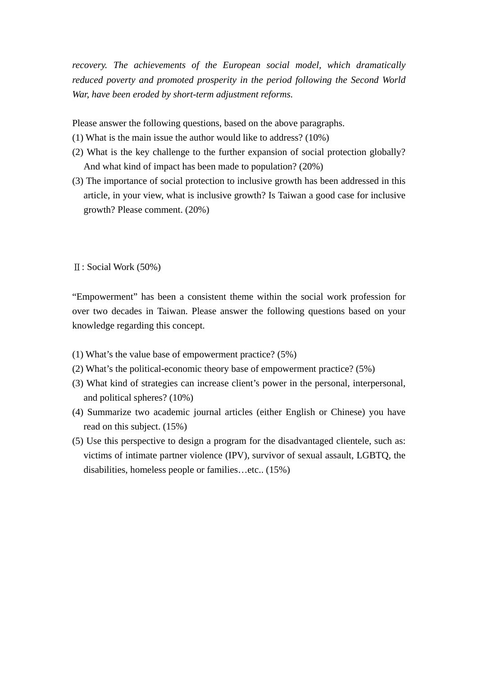*recovery. The achievements of the European social model, which dramatically reduced poverty and promoted prosperity in the period following the Second World War, have been eroded by short-term adjustment reforms.* 

Please answer the following questions, based on the above paragraphs.

- (1) What is the main issue the author would like to address? (10%)
- (2) What is the key challenge to the further expansion of social protection globally? And what kind of impact has been made to population? (20%)
- (3) The importance of social protection to inclusive growth has been addressed in this article, in your view, what is inclusive growth? Is Taiwan a good case for inclusive growth? Please comment. (20%)

Ⅱ: Social Work (50%)

"Empowerment" has been a consistent theme within the social work profession for over two decades in Taiwan. Please answer the following questions based on your knowledge regarding this concept.

- (1) What's the value base of empowerment practice? (5%)
- (2) What's the political-economic theory base of empowerment practice? (5%)
- (3) What kind of strategies can increase client's power in the personal, interpersonal, and political spheres? (10%)
- (4) Summarize two academic journal articles (either English or Chinese) you have read on this subject. (15%)
- (5) Use this perspective to design a program for the disadvantaged clientele, such as: victims of intimate partner violence (IPV), survivor of sexual assault, LGBTQ, the disabilities, homeless people or families…etc.. (15%)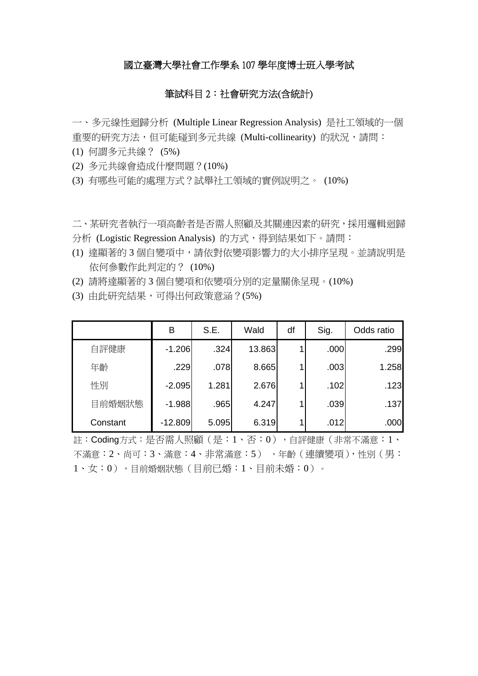### 國立臺灣大學社會工作學系 107 學年度博士班入學考試

# 筆試科目 2:社會研究方法(含統計)

一、多元線性迴歸分析 (Multiple Linear Regression Analysis) 是社工領域的一個 重要的研究方法,但可能碰到多元共線 (Multi-collinearity) 的狀況,請問:

- (1) 何謂多元共線? (5%)
- (2) 多元共線會造成什麼問題?(10%)
- (3) 有哪些可能的處理方式?試舉社工領域的實例說明之。 (10%)

二、某研究者執行一項高齡者是否需人照顧及其關連因素的研究,採用邏輯迴歸 分析 (Logistic Regression Analysis) 的方式,得到結果如下。請問:

- (1) 達顯著的 3 個自變項中,請依對依變項影響力的大小排序呈現。並請說明是 依何參數作此判定的? (10%)
- (2) 請將達顯著的 3 個自變項和依變項分別的定量關係呈現。(10%)
- (3) 由此研究結果,可得出何政策意涵?(5%)

|          | В         | S.E.  | Wald   | df | Sig. | Odds ratio |
|----------|-----------|-------|--------|----|------|------------|
| 自評健康     | $-1.206$  | .324  | 13.863 |    | .000 | .299       |
| 年齡       | .229      | .078  | 8.665  |    | .003 | 1.258      |
| 性別       | $-2.095$  | 1.281 | 2.676  |    | .102 | .123       |
| 目前婚姻狀態   | $-1.988$  | .965  | 4.247  |    | .039 | .137       |
| Constant | $-12.809$ | 5.095 | 6.319  |    | .012 | .000       |

註: Coding方式: 是否需人照顧 (是: 1、否: 0), 自評健康 (非常不滿意: 1、 不滿意:2、尚可:3、滿意:4、非常滿意:5) ,年齡(連續變項),性別(男: 1、女:0),目前婚姻狀態(目前已婚:1、目前未婚:0)。